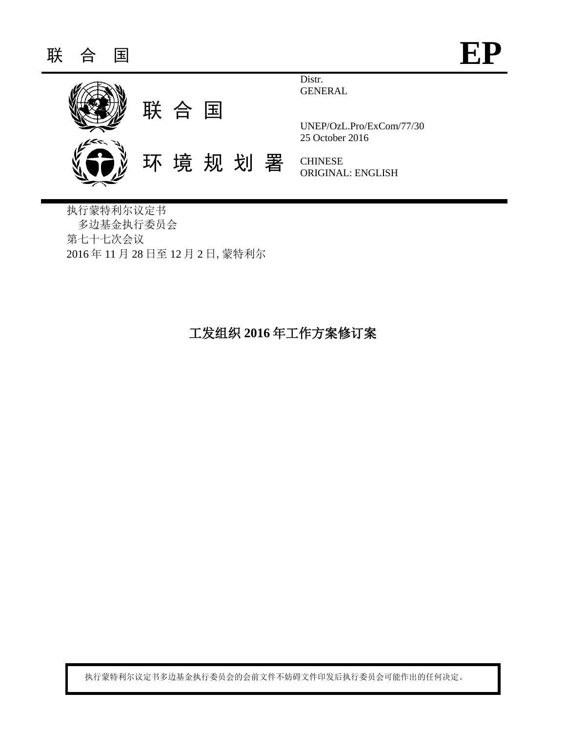

执行蒙特利尔议定书 多边基金执行委员会 第七十七次会议 2016 年 11 月 28 日至 12 月 2 日,蒙特利尔

# 工发组织 **2016** 年工作方案修订案

执行蒙特利尔议定书多边基金执行委员会的会前文件不妨碍文件印发后执行委员会可能作出的任何决定。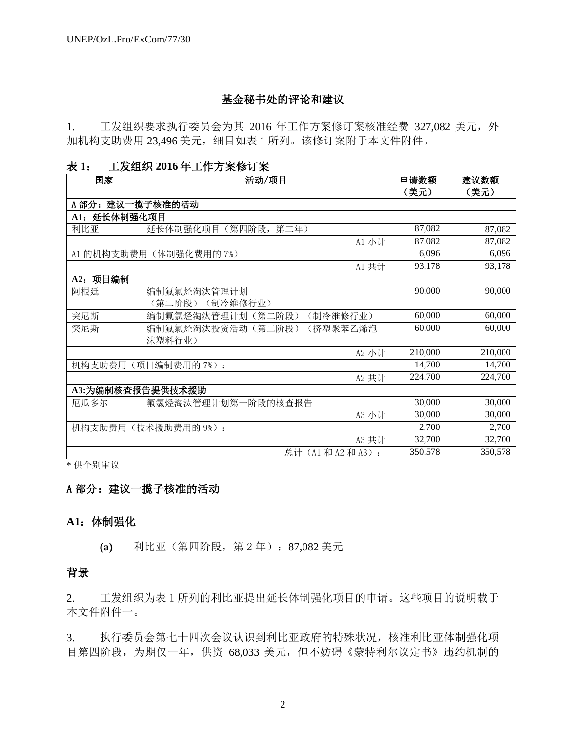# 基金秘书处的评论和建议

1. 工发组织要求执行委员会为其 2016 年工作方案修订案核准经费 327,082 美元, 外 加机构支助费用 23,496 美元,细目如表 1 所列。该修订案附于本文件附件。

# 表 1: 工发组织 **2016** 年工作方案修订案

| 国家               | 活动/项目                             | 申请数额    | 建议数额    |
|------------------|-----------------------------------|---------|---------|
|                  |                                   | (美元)    | (美元)    |
| A 部分:            | 建议一揽子核准的活动                        |         |         |
| A1: 延长体制强化项目     |                                   |         |         |
| 利比亚              | 延长体制强化项目<br>(第四阶段,<br>第二年)        | 87,082  | 87,082  |
|                  | A1 小计                             | 87,082  | 87,082  |
| A1 的机构支助费用       | (体制强化费用的7%)                       | 6,096   | 6,096   |
|                  | A1 共计                             | 93,178  | 93,178  |
| 项目编制<br>A2:      |                                   |         |         |
| 阿根廷              | 编制氟氯烃淘汰管理计划                       | 90,000  | 90,000  |
|                  | (第二阶段)<br>(制冷维修行业)                |         |         |
| 突尼斯              | (制冷维修行业)<br>编制氟氯烃淘汰管理计划<br>(第二阶段) | 60,000  | 60,000  |
| 突尼斯              | 编制氟氯烃淘汰投资活动<br>(第二阶段)<br>(挤塑聚苯乙烯泡 | 60,000  | 60,000  |
|                  | 沫塑料行业)                            |         |         |
|                  | A2 小计                             | 210,000 | 210,000 |
| 机构支助费用           | (项目编制费用的7%):                      | 14,700  | 14,700  |
|                  | A2 共计                             | 224,700 | 224,700 |
| A3:为编制核査报告提供技术援助 |                                   |         |         |
| 厄瓜多尔             | 氟氯烃淘汰管理计划第一阶段的核查报告                | 30,000  | 30,000  |
|                  | A3 小计                             | 30,000  | 30,000  |
|                  | 机构支助费用(技术援助费用的9%):                | 2,700   | 2,700   |
|                  | A3 共计                             | 32,700  | 32,700  |
|                  | 总计 (A1 和 A2 和 A3):                | 350,578 | 350,578 |

\* 供个别审议

# A 部分: 建议一揽子核准的活动

# **A1**:体制强化

**(a)** 利比亚(第四阶段,第 2 年):87,082 美元

# 背景

2. 工发组织为表 1 所列的利比亚提出延长体制强化项目的申请。这些项目的说明载于 本文件附件一。

3. 执行委员会第七十四次会议认识到利比亚政府的特殊状况,核准利比亚体制强化项 目第四阶段,为期仅一年,供资 68,033 美元,但不妨碍《蒙特利尔议定书》违约机制的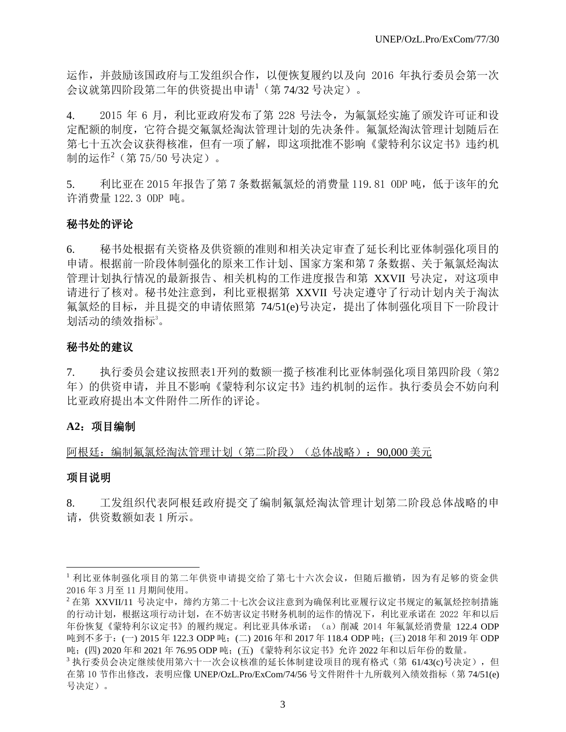运作,并鼓励该国政府与工发组织合作,以便恢复履约以及向 2016 年执行委员会第一次 会议就第四阶段第二年的供资提出申请<sup>1</sup>(第 74/32 号决定)。

4. 2015 年 6 月,利比亚政府发布了第 228 号法令,为氟氯烃实施了颁发许可证和设 定配额的制度,它符合提交氟氯烃淘汰管理计划的先决条件。氟氯烃淘汰管理计划随后在 第七十五次会议获得核准,但有一项了解,即这项批准不影响《蒙特利尔议定书》违约机 制的运作<sup>2</sup> (第 75/50 号决定)。

5. 利比亚在 2015 年报告了第 7 条数据氟氯烃的消费量 119.81 ODP 吨, 低于该年的允 许消费量 122.3 ODP 吨。

#### 秘书处的评论

6. 秘书处根据有关资格及供资额的准则和相关决定审查了延长利比亚体制强化项目的 申请。根据前一阶段体制强化的原来工作计划、国家方案和第 7 条数据、关于氟氯烃淘汰 管理计划执行情况的最新报告、相关机构的工作进度报告和第 XXVII 号决定, 对这项申 请进行了核对。秘书处注意到,利比亚根据第 XXVII 号决定遵守了行动计划内关于淘汰 氟氯烃的目标,并且提交的申请依照第 74/51(e)号决定,提出了体制强化项目下一阶段计 划活动的绩效指标3。

### 秘书处的建议

7. 执行委员会建议按照表1开列的数额一揽子核准利比亚体制强化项目第四阶段(第2 年)的供资申请,并且不影响《蒙特利尔议定书》违约机制的运作。执行委员会不妨向利 比亚政府提出本文件附件二所作的评论。

# **A2**:项目编制

#### 阿根廷: 编制氟氯烃淘汰管理计划(第二阶段) (总体战略): 90,000 美元

#### 项目说明

l

8. 工发组织代表阿根廷政府提交了编制氟氯烃淘汰管理计划第二阶段总体战略的申 请,供资数额如表 1 所示。

<sup>1</sup> 利比亚体制强化项目的第二年供资申请提交给了第七十六次会议,但随后撤销,因为有足够的资金供 2016 年 3 月至 11 月期间使用。

 $^2$ 在第 XXVII/11 号决定中,缔约方第二十七次会议注意到为确保利比亚履行议定书规定的氟氯烃控制措施 的行动计划,根据这项行动计划,在不妨害议定书财务机制的运作的情况下,利比亚承诺在 2022 年和以后 年份恢复《蒙特利尔议定书》的履约规定。利比亚具体承诺:(a)削减 2014 年氟氯烃消费量 122.4 ODP 吨到不多于:(一) 2015 年 122.3 ODP 吨;(二) 2016 年和 2017 年 118.4 ODP 吨;(三) 2018 年和 2019 年 ODP 吨;(四) 2020 年和 2021 年 76.95 ODP 吨;(五) 《蒙特利尔议定书》允许 2022 年和以后年份的数量。

 $^3$  执行委员会决定继续使用第六十一次会议核准的延长体制建设项目的现有格式(第 61/43(c)号决定), 但 在第10 节作出修改,表明应像 UNEP/OzL.Pro/ExCom/74/56 号文件附件十九所载列入绩效指标(第 74/51(e) 号决定)。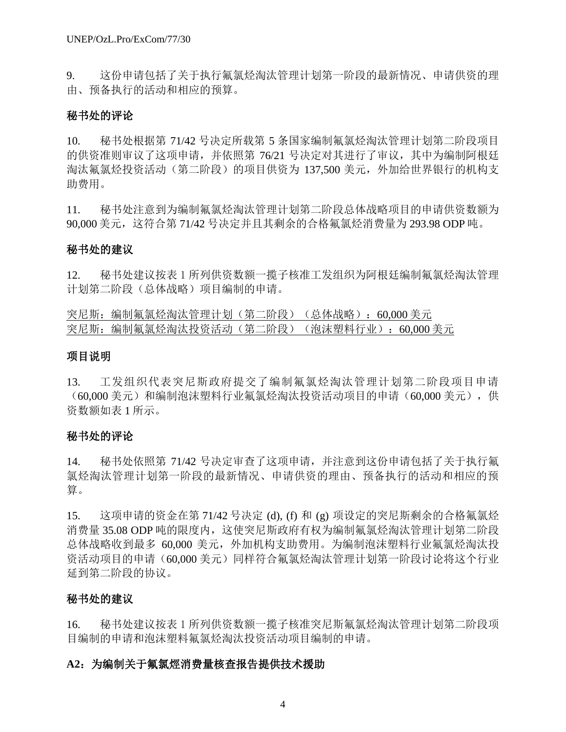9. 这份申请包括了关于执行氟氯烃淘汰管理计划第一阶段的最新情况、申请供资的理 由、预备执行的活动和相应的预算。

#### 秘书处的评论

10. 秘书处根据第 71/42 号决定所载第 5 条国家编制氟氯烃淘汰管理计划第二阶段项目 的供资准则审议了这项申请,并依照第 76/21 号决定对其进行了审议,其中为编制阿根廷 淘汰氟氯烃投资活动(第二阶段)的项目供资为 137,500 美元,外加给世界银行的机构支 助费用。

11. 秘书处注意到为编制氟氯烃淘汰管理计划第二阶段总体战略项目的申请供资数额为 90,000 美元,这符合第 71/42 号决定并且其剩余的合格氟氯烃消费量为 293.98 ODP 吨。

### 秘书处的建议

12. 秘书处建议按表 1 所列供资数额一揽子核准工发组织为阿根廷编制氟氯烃淘汰管理 计划第二阶段(总体战略)项目编制的申请。

突尼斯: 编制氟氯烃淘汰管理计划(第二阶段)(总体战略): 60,000 美元 突尼斯: 编制氟氯烃淘汰投资活动(第二阶段)(泡沫塑料行业): 60,000 美元

### 项目说明

13. 工发组织代表突尼斯政府提交了编制氟氯烃淘汰管理计划第二阶段项目申请 (60,000 美元)和编制泡沫塑料行业氟氯烃淘汰投资活动项目的申请(60,000 美元),供 资数额如表 1 所示。

#### 秘书处的评论

14. 秘书处依照第 71/42 号决定审查了这项申请,并注意到这份申请包括了关于执行氟 氯烃淘汰管理计划第一阶段的最新情况、申请供资的理由、预备执行的活动和相应的预 算。

15. 这项申请的资金在第 71/42 号决定 (d), (f) 和 (g) 项设定的突尼斯剩余的合格氟氯烃 消费量 35.08 ODP 吨的限度内,这使突尼斯政府有权为编制氟氯烃淘汰管理计划第二阶段 总体战略收到最多 60,000 美元,外加机构支助费用。为编制泡沫塑料行业氟氯烃淘汰投 资活动项目的申请(60,000 美元)同样符合氟氯烃淘汰管理计划第一阶段讨论将这个行业 延到第二阶段的协议。

# 秘书处的建议

16. 秘书处建议按表 1 所列供资数额一揽子核准突尼斯氟氯烃淘汰管理计划第二阶段项 目编制的申请和泡沫塑料氟氯烃淘汰投资活动项目编制的申请。

# **A2**:为编制关于氟氯烴消费量核查报告提供技术援助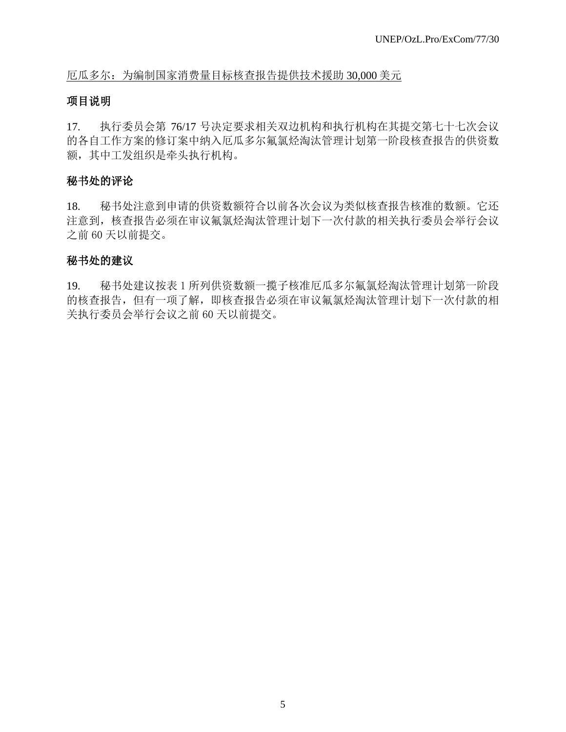厄瓜多尔:为编制国家消费量目标核查报告提供技术援助 30,000 美元

### 项目说明

17. 执行委员会第 76/17 号决定要求相关双边机构和执行机构在其提交第七十七次会议 的各自工作方案的修订案中纳入厄瓜多尔氟氯烃淘汰管理计划第一阶段核查报告的供资数 额,其中工发组织是牵头执行机构。

# 秘书处的评论

18. 秘书处注意到申请的供资数额符合以前各次会议为类似核查报告核准的数额。它还 注意到,核查报告必须在审议氟氯烃淘汰管理计划下一次付款的相关执行委员会举行会议 之前 60 天以前提交。

# 秘书处的建议

19. 秘书处建议按表 1 所列供资数额一揽子核准厄瓜多尔氟氯烃淘汰管理计划第一阶段 的核查报告,但有一项了解,即核查报告必须在审议氟氯烃淘汰管理计划下一次付款的相 关执行委员会举行会议之前 60 天以前提交。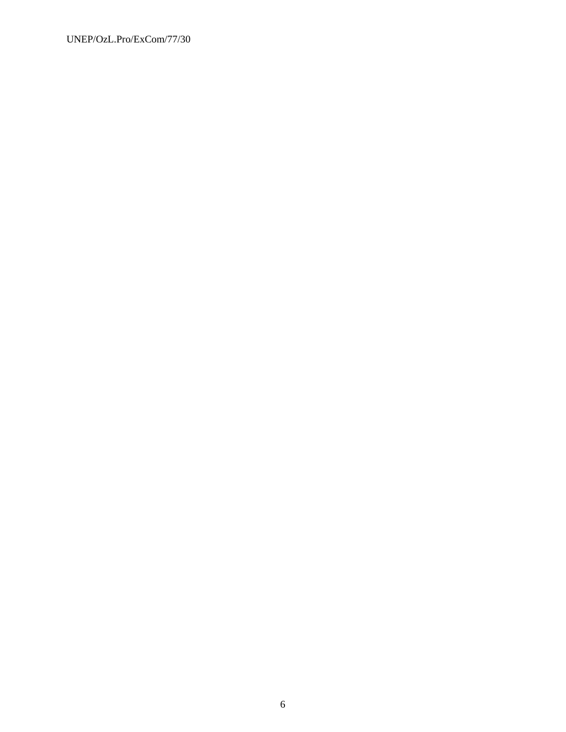UNEP/OzL.Pro/ExCom/77/30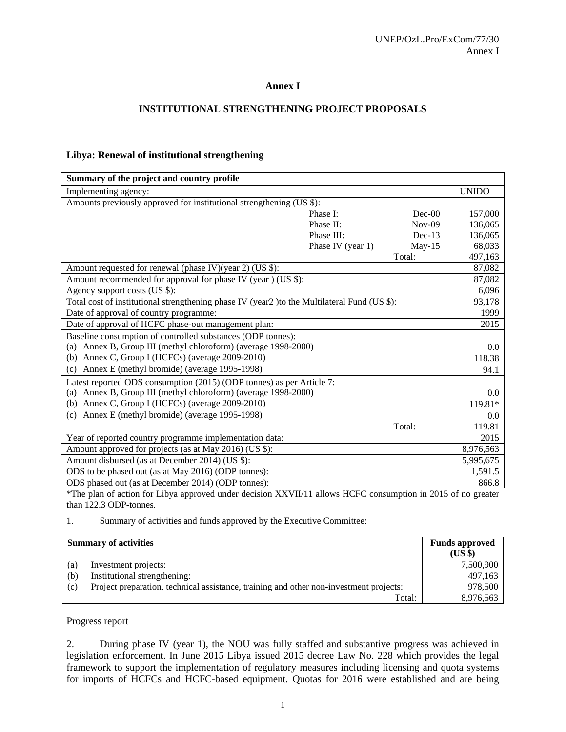#### **Annex I**

### **INSTITUTIONAL STRENGTHENING PROJECT PROPOSALS**

#### **Libya: Renewal of institutional strengthening**

| Summary of the project and country profile                                                   |                   |          |              |
|----------------------------------------------------------------------------------------------|-------------------|----------|--------------|
| Implementing agency:                                                                         |                   |          | <b>UNIDO</b> |
| Amounts previously approved for institutional strengthening (US \$):                         |                   |          |              |
|                                                                                              | Phase I:          | $Dec-00$ | 157,000      |
|                                                                                              | Phase II:         | Nov-09   | 136,065      |
|                                                                                              | Phase III:        | $Dec-13$ | 136,065      |
|                                                                                              | Phase IV (year 1) | $May-15$ | 68,033       |
|                                                                                              |                   | Total:   | 497,163      |
| Amount requested for renewal (phase IV)(year 2) (US \$):                                     |                   |          | 87,082       |
| Amount recommended for approval for phase IV (year ) (US \$):                                |                   |          | 87,082       |
| Agency support costs (US \$):                                                                |                   |          | 6,096        |
| Total cost of institutional strengthening phase IV (year2) to the Multilateral Fund (US \$): |                   |          | 93,178       |
| Date of approval of country programme:                                                       |                   |          | 1999         |
| Date of approval of HCFC phase-out management plan:                                          |                   |          | 2015         |
| Baseline consumption of controlled substances (ODP tonnes):                                  |                   |          |              |
| (a) Annex B, Group III (methyl chloroform) (average 1998-2000)                               |                   |          | 0.0          |
| (b) Annex C, Group I (HCFCs) (average 2009-2010)                                             |                   |          | 118.38       |
| Annex E (methyl bromide) (average 1995-1998)<br>(c)                                          |                   |          | 94.1         |
| Latest reported ODS consumption (2015) (ODP tonnes) as per Article 7:                        |                   |          |              |
| (a) Annex B, Group III (methyl chloroform) (average 1998-2000)                               |                   |          | 0.0          |
| Annex C, Group I (HCFCs) (average 2009-2010)<br>(b)                                          |                   |          | 119.81*      |
| Annex E (methyl bromide) (average 1995-1998)<br>(c)                                          |                   |          | 0.0          |
|                                                                                              |                   | Total:   | 119.81       |
| Year of reported country programme implementation data:                                      |                   |          | 2015         |
| Amount approved for projects (as at May 2016) (US \$):                                       |                   |          | 8,976,563    |
| Amount disbursed (as at December 2014) (US \$):                                              |                   |          | 5,995,675    |
| ODS to be phased out (as at May 2016) (ODP tonnes):                                          |                   |          | 1,591.5      |
| ODS phased out (as at December 2014) (ODP tonnes):                                           |                   |          | 866.8        |

\*The plan of action for Libya approved under decision XXVII/11 allows HCFC consumption in 2015 of no greater than 122.3 ODP-tonnes.

1. Summary of activities and funds approved by the Executive Committee:

|     | <b>Summary of activities</b>                                                           | <b>Funds approved</b><br>(US \$) |
|-----|----------------------------------------------------------------------------------------|----------------------------------|
| (a) | Investment projects:                                                                   | 7,500,900                        |
| (b) | Institutional strengthening:                                                           | 497,163                          |
| (c) | Project preparation, technical assistance, training and other non-investment projects: | 978,500                          |
|     | Total:                                                                                 | 8,976,563                        |

#### Progress report

2. During phase IV (year 1), the NOU was fully staffed and substantive progress was achieved in legislation enforcement. In June 2015 Libya issued 2015 decree Law No. 228 which provides the legal framework to support the implementation of regulatory measures including licensing and quota systems for imports of HCFCs and HCFC-based equipment. Quotas for 2016 were established and are being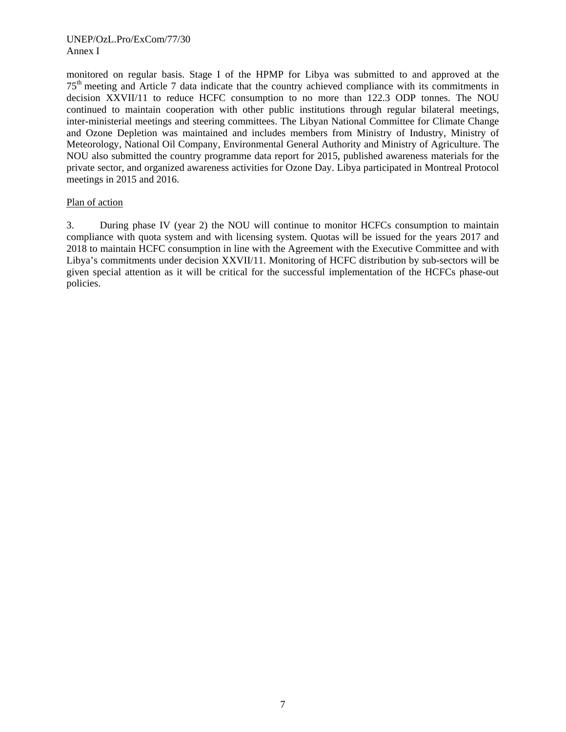monitored on regular basis. Stage I of the HPMP for Libya was submitted to and approved at the 75th meeting and Article 7 data indicate that the country achieved compliance with its commitments in decision XXVII/11 to reduce HCFC consumption to no more than 122.3 ODP tonnes. The NOU continued to maintain cooperation with other public institutions through regular bilateral meetings, inter-ministerial meetings and steering committees. The Libyan National Committee for Climate Change and Ozone Depletion was maintained and includes members from Ministry of Industry, Ministry of Meteorology, National Oil Company, Environmental General Authority and Ministry of Agriculture. The NOU also submitted the country programme data report for 2015, published awareness materials for the private sector, and organized awareness activities for Ozone Day. Libya participated in Montreal Protocol meetings in 2015 and 2016.

#### Plan of action

3. During phase IV (year 2) the NOU will continue to monitor HCFCs consumption to maintain compliance with quota system and with licensing system. Quotas will be issued for the years 2017 and 2018 to maintain HCFC consumption in line with the Agreement with the Executive Committee and with Libya's commitments under decision XXVII/11. Monitoring of HCFC distribution by sub-sectors will be given special attention as it will be critical for the successful implementation of the HCFCs phase-out policies.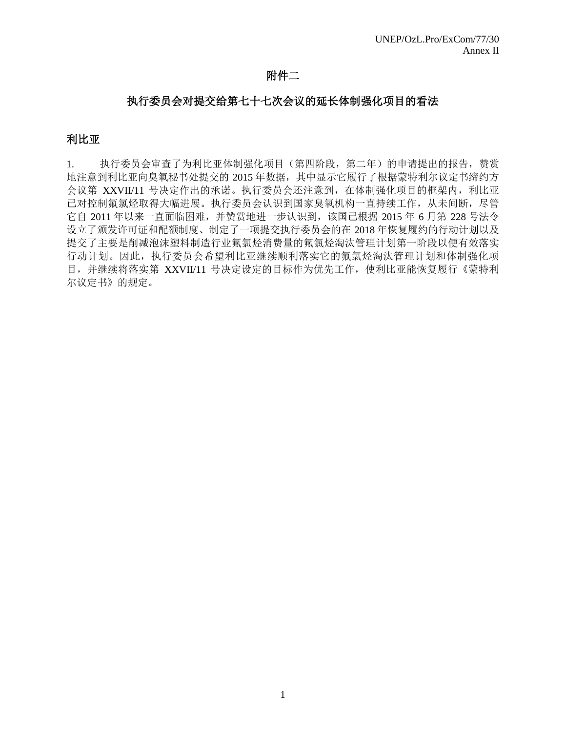# 附件二

# 执行委员会对提交给第七十七次会议的延长体制强化项目的看法

# 利比亚

1. 执行委员会审查了为利比亚体制强化项目(第四阶段,第二年)的申请提出的报告,赞赏 地注意到利比亚向臭氧秘书处提交的 2015 年数据,其中显示它履行了根据蒙特利尔议定书缔约方 会议第 XXVII/11 号决定作出的承诺。执行委员会还注意到,在体制强化项目的框架内,利比亚 已对控制氟氯烃取得大幅进展。执行委员会认识到国家臭氧机构一直持续工作,从未间断,尽管 它自 2011 年以来一直面临困难,并赞赏地进一步认识到,该国已根据 2015 年 6 月第 228 号法令 设立了颁发许可证和配额制度、制定了一项提交执行委员会的在 2018 年恢复履约的行动计划以及 提交了主要是削减泡沫塑料制造行业氟氯烃消费量的氟氯烃淘汰管理计划第一阶段以便有效落实 行动计划。因此,执行委员会希望利比亚继续顺利落实它的氟氯烃淘汰管理计划和体制强化项 目,并继续将落实第 XXVII/11 号决定设定的目标作为优先工作,使利比亚能恢复履行《蒙特利 尔议定书》的规定。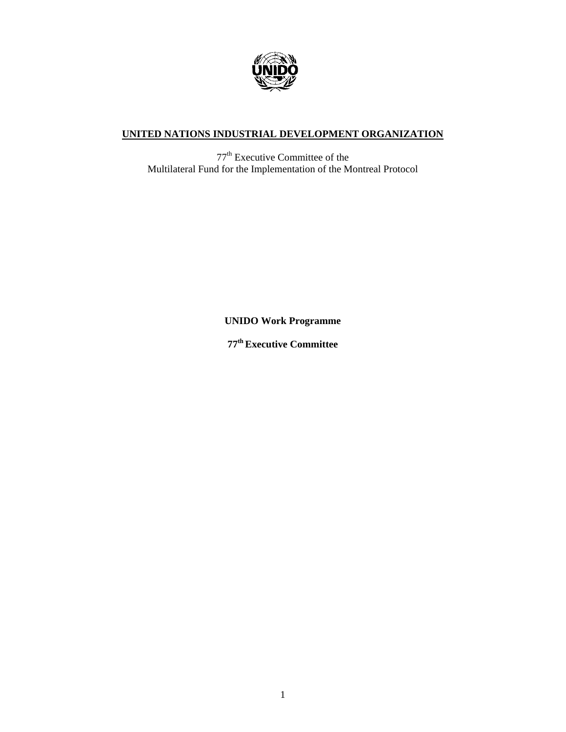

# **UNITED NATIONS INDUSTRIAL DEVELOPMENT ORGANIZATION**

77<sup>th</sup> Executive Committee of the Multilateral Fund for the Implementation of the Montreal Protocol

**UNIDO Work Programme** 

**77th Executive Committee**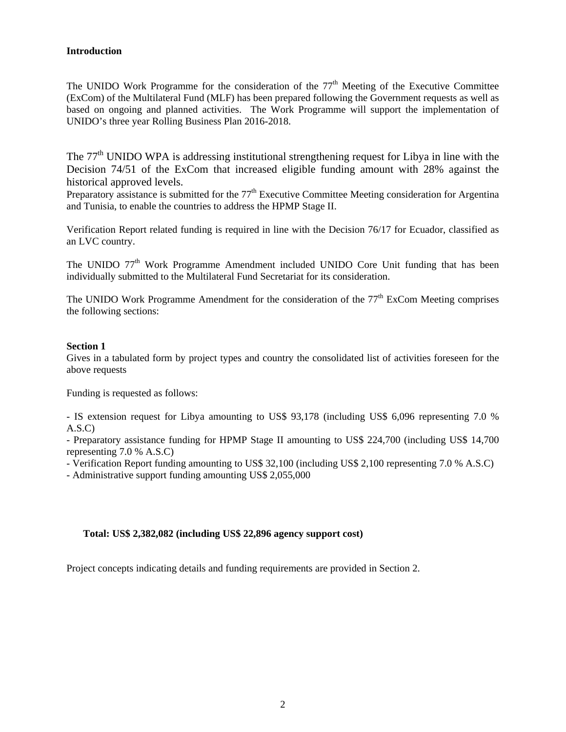#### **Introduction**

The UNIDO Work Programme for the consideration of the  $77<sup>th</sup>$  Meeting of the Executive Committee (ExCom) of the Multilateral Fund (MLF) has been prepared following the Government requests as well as based on ongoing and planned activities. The Work Programme will support the implementation of UNIDO's three year Rolling Business Plan 2016-2018.

The  $77<sup>th</sup>$  UNIDO WPA is addressing institutional strengthening request for Libya in line with the Decision 74/51 of the ExCom that increased eligible funding amount with 28% against the historical approved levels.

Preparatory assistance is submitted for the  $77<sup>th</sup>$  Executive Committee Meeting consideration for Argentina and Tunisia, to enable the countries to address the HPMP Stage II.

Verification Report related funding is required in line with the Decision 76/17 for Ecuador, classified as an LVC country.

The UNIDO  $77<sup>th</sup>$  Work Programme Amendment included UNIDO Core Unit funding that has been individually submitted to the Multilateral Fund Secretariat for its consideration.

The UNIDO Work Programme Amendment for the consideration of the  $77<sup>th</sup>$  ExCom Meeting comprises the following sections:

#### **Section 1**

Gives in a tabulated form by project types and country the consolidated list of activities foreseen for the above requests

Funding is requested as follows:

- IS extension request for Libya amounting to US\$ 93,178 (including US\$ 6,096 representing 7.0 % A.S.C)

- Preparatory assistance funding for HPMP Stage II amounting to US\$ 224,700 (including US\$ 14,700 representing 7.0 % A.S.C)

- Verification Report funding amounting to US\$ 32,100 (including US\$ 2,100 representing 7.0 % A.S.C)

- Administrative support funding amounting US\$ 2,055,000

#### **Total: US\$ 2,382,082 (including US\$ 22,896 agency support cost)**

Project concepts indicating details and funding requirements are provided in Section 2.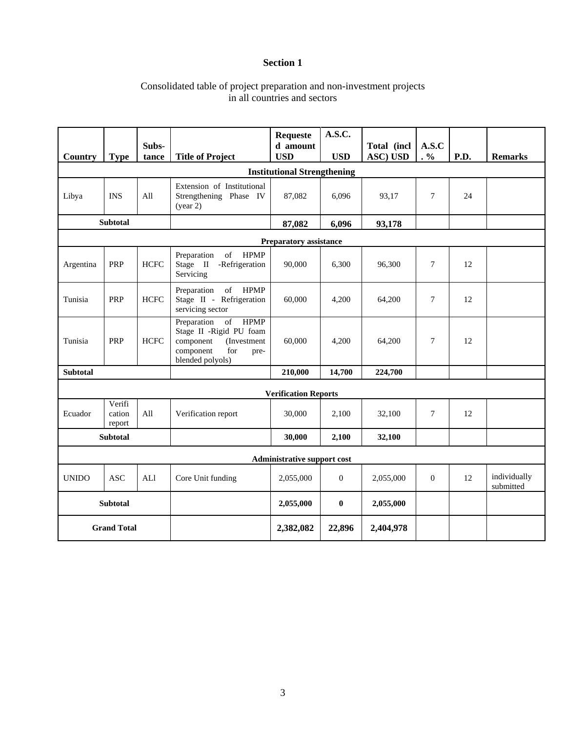# **Section 1**

#### Consolidated table of project preparation and non-investment projects in all countries and sectors

|                 |                            | Subs-       |                                                                                                                                                                                                                                         | <b>Requeste</b><br>d amount        | A.S.C.       | Total (incl     | A.S.C           |      |                           |
|-----------------|----------------------------|-------------|-----------------------------------------------------------------------------------------------------------------------------------------------------------------------------------------------------------------------------------------|------------------------------------|--------------|-----------------|-----------------|------|---------------------------|
| Country         | <b>Type</b>                | tance       | <b>Title of Project</b>                                                                                                                                                                                                                 | <b>USD</b>                         | <b>USD</b>   | <b>ASC) USD</b> | $. \frac{0}{0}$ | P.D. | <b>Remarks</b>            |
|                 |                            |             |                                                                                                                                                                                                                                         | <b>Institutional Strengthening</b> |              |                 |                 |      |                           |
| Libya           | <b>INS</b>                 | All         | Extension of Institutional<br>Strengthening Phase IV<br>(year 2)                                                                                                                                                                        | 87,082                             | 6,096        | 93,17           | 7               | 24   |                           |
|                 | <b>Subtotal</b>            |             |                                                                                                                                                                                                                                         | 87,082                             | 6,096        | 93,178          |                 |      |                           |
|                 |                            |             |                                                                                                                                                                                                                                         | Preparatory assistance             |              |                 |                 |      |                           |
| Argentina       | PRP                        | <b>HCFC</b> | <b>HPMP</b><br>of<br>Preparation<br>-Refrigeration<br>Stage<br>$\mathbf{I}$<br>Servicing                                                                                                                                                | 90,000                             | 6,300        | 96,300          | 7               | 12   |                           |
| Tunisia         | PRP                        | <b>HCFC</b> | of<br><b>HPMP</b><br>Preparation<br>Stage II - Refrigeration<br>servicing sector                                                                                                                                                        | 60,000                             | 4,200        | 64,200          | 7               | 12   |                           |
| Tunisia         | PRP                        | <b>HCFC</b> | Preparation<br>$% \left( \left( \mathcal{A},\mathcal{A}\right) \right) =\left( \mathcal{A},\mathcal{A}\right)$ of<br><b>HPMP</b><br>Stage II -Rigid PU foam<br>component<br>(Investment<br>component<br>for<br>pre-<br>blended polyols) | 60,000                             | 4,200        | 64,200          | 7               | 12   |                           |
| <b>Subtotal</b> |                            |             |                                                                                                                                                                                                                                         | 210,000                            | 14,700       | 224,700         |                 |      |                           |
|                 |                            |             |                                                                                                                                                                                                                                         | <b>Verification Reports</b>        |              |                 |                 |      |                           |
| Ecuador         | Verifi<br>cation<br>report | All         | Verification report                                                                                                                                                                                                                     | 30,000                             | 2,100        | 32,100          | $\overline{7}$  | 12   |                           |
|                 | <b>Subtotal</b>            |             |                                                                                                                                                                                                                                         | 30,000                             | 2,100        | 32,100          |                 |      |                           |
|                 |                            |             |                                                                                                                                                                                                                                         | Administrative support cost        |              |                 |                 |      |                           |
| <b>UNIDO</b>    | <b>ASC</b>                 | ALI         | Core Unit funding                                                                                                                                                                                                                       | 2,055,000                          | $\mathbf{0}$ | 2,055,000       | $\mathbf{0}$    | 12   | individually<br>submitted |
|                 | <b>Subtotal</b>            |             |                                                                                                                                                                                                                                         | 2,055,000                          | $\bf{0}$     | 2,055,000       |                 |      |                           |
|                 | <b>Grand Total</b>         |             |                                                                                                                                                                                                                                         | 2,382,082                          | 22,896       | 2,404,978       |                 |      |                           |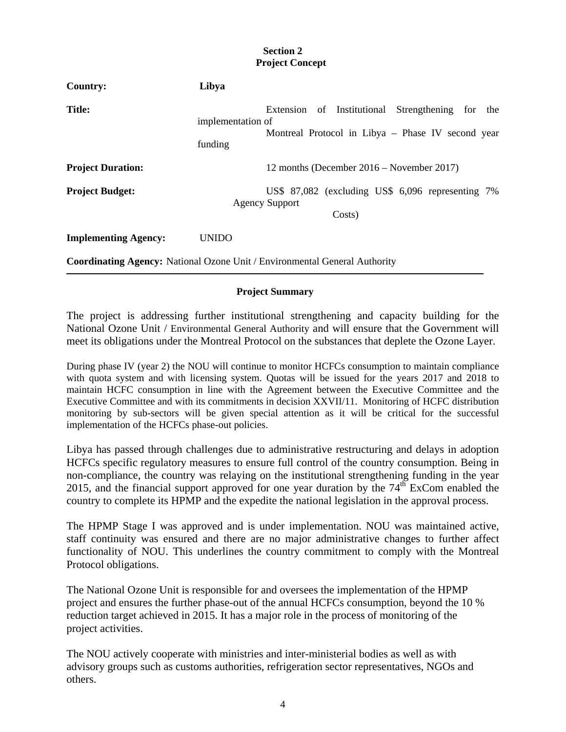### **Section 2 Project Concept**

| <b>Country:</b>             | Libya                                                                                                                                    |
|-----------------------------|------------------------------------------------------------------------------------------------------------------------------------------|
| <b>Title:</b>               | Extension of Institutional<br>Strengthening for the<br>implementation of<br>Montreal Protocol in Libya - Phase IV second year<br>funding |
| <b>Project Duration:</b>    | 12 months (December $2016$ – November 2017)                                                                                              |
| <b>Project Budget:</b>      | US\$ 87,082 (excluding US\$ 6,096 representing 7%<br><b>Agency Support</b><br>Costs)                                                     |
| <b>Implementing Agency:</b> | UNIDO                                                                                                                                    |

**Coordinating Agency:** National Ozone Unit / Environmental General Authority

# **Project Summary**

The project is addressing further institutional strengthening and capacity building for the National Ozone Unit / Environmental General Authority and will ensure that the Government will meet its obligations under the Montreal Protocol on the substances that deplete the Ozone Layer.

During phase IV (year 2) the NOU will continue to monitor HCFCs consumption to maintain compliance with quota system and with licensing system. Quotas will be issued for the years 2017 and 2018 to maintain HCFC consumption in line with the Agreement between the Executive Committee and the Executive Committee and with its commitments in decision XXVII/11. Monitoring of HCFC distribution monitoring by sub-sectors will be given special attention as it will be critical for the successful implementation of the HCFCs phase-out policies.

Libya has passed through challenges due to administrative restructuring and delays in adoption HCFCs specific regulatory measures to ensure full control of the country consumption. Being in non-compliance, the country was relaying on the institutional strengthening funding in the year 2015, and the financial support approved for one year duration by the  $74<sup>th</sup>$  ExCom enabled the country to complete its HPMP and the expedite the national legislation in the approval process.

The HPMP Stage I was approved and is under implementation. NOU was maintained active, staff continuity was ensured and there are no major administrative changes to further affect functionality of NOU. This underlines the country commitment to comply with the Montreal Protocol obligations.

The National Ozone Unit is responsible for and oversees the implementation of the HPMP project and ensures the further phase-out of the annual HCFCs consumption, beyond the 10 % reduction target achieved in 2015. It has a major role in the process of monitoring of the project activities.

The NOU actively cooperate with ministries and inter-ministerial bodies as well as with advisory groups such as customs authorities, refrigeration sector representatives, NGOs and others.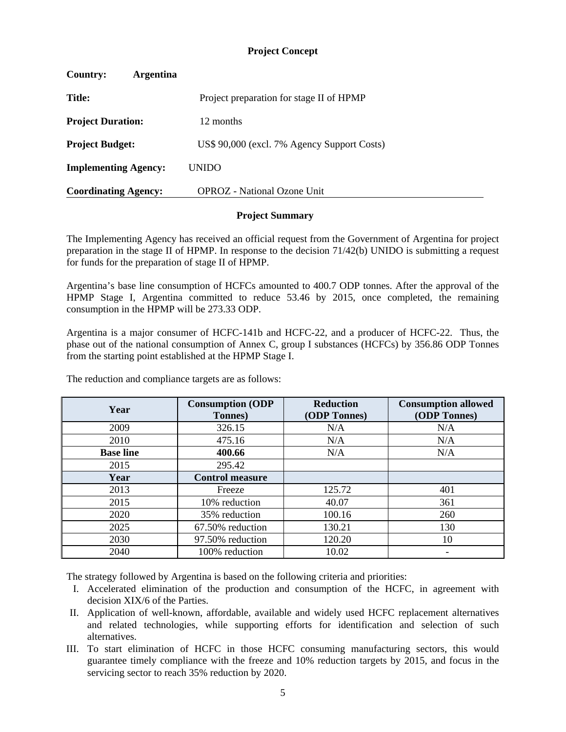### **Project Concept**

| <b>Country:</b><br>Argentina |                                             |
|------------------------------|---------------------------------------------|
| <b>Title:</b>                | Project preparation for stage II of HPMP    |
| <b>Project Duration:</b>     | 12 months                                   |
| <b>Project Budget:</b>       | US\$ 90,000 (excl. 7% Agency Support Costs) |
| <b>Implementing Agency:</b>  | UNIDO                                       |
| <b>Coordinating Agency:</b>  | <b>OPROZ</b> - National Ozone Unit          |

#### **Project Summary**

The Implementing Agency has received an official request from the Government of Argentina for project preparation in the stage II of HPMP. In response to the decision 71/42(b) UNIDO is submitting a request for funds for the preparation of stage II of HPMP.

Argentina's base line consumption of HCFCs amounted to 400.7 ODP tonnes. After the approval of the HPMP Stage I, Argentina committed to reduce 53.46 by 2015, once completed, the remaining consumption in the HPMP will be 273.33 ODP.

Argentina is a major consumer of HCFC-141b and HCFC-22, and a producer of HCFC-22. Thus, the phase out of the national consumption of Annex C, group I substances (HCFCs) by 356.86 ODP Tonnes from the starting point established at the HPMP Stage I.

The reduction and compliance targets are as follows:

| Year             | <b>Consumption (ODP</b><br><b>Tonnes</b> ) | <b>Reduction</b><br>(ODP Tonnes) | <b>Consumption allowed</b><br>(ODP Tonnes) |
|------------------|--------------------------------------------|----------------------------------|--------------------------------------------|
| 2009             | 326.15                                     | N/A                              | N/A                                        |
| 2010             | 475.16                                     | N/A                              | N/A                                        |
| <b>Base line</b> | 400.66                                     | N/A                              | N/A                                        |
| 2015             | 295.42                                     |                                  |                                            |
| Year             | <b>Control measure</b>                     |                                  |                                            |
| 2013             | Freeze                                     | 125.72                           | 401                                        |
| 2015             | 10% reduction                              | 40.07                            | 361                                        |
| 2020             | 35% reduction                              | 100.16                           | 260                                        |
| 2025             | 67.50% reduction                           | 130.21                           | 130                                        |
| 2030             | 97.50% reduction                           | 120.20                           | 10                                         |
| 2040             | 100% reduction                             | 10.02                            |                                            |

The strategy followed by Argentina is based on the following criteria and priorities:

- I. Accelerated elimination of the production and consumption of the HCFC, in agreement with decision XIX/6 of the Parties.
- II. Application of well-known, affordable, available and widely used HCFC replacement alternatives and related technologies, while supporting efforts for identification and selection of such alternatives.
- III. To start elimination of HCFC in those HCFC consuming manufacturing sectors, this would guarantee timely compliance with the freeze and 10% reduction targets by 2015, and focus in the servicing sector to reach 35% reduction by 2020.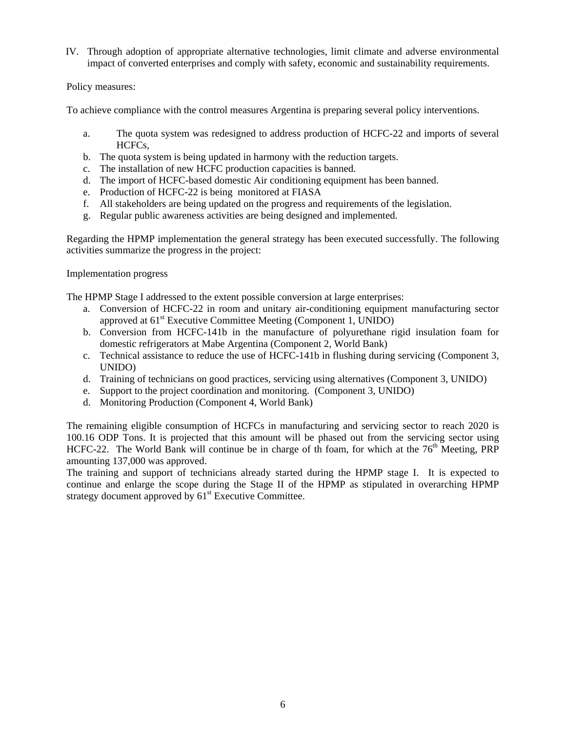IV. Through adoption of appropriate alternative technologies, limit climate and adverse environmental impact of converted enterprises and comply with safety, economic and sustainability requirements.

# Policy measures:

To achieve compliance with the control measures Argentina is preparing several policy interventions.

- a. The quota system was redesigned to address production of HCFC-22 and imports of several HCFCs,
- b. The quota system is being updated in harmony with the reduction targets.
- c. The installation of new HCFC production capacities is banned.
- d. The import of HCFC-based domestic Air conditioning equipment has been banned.
- e. Production of HCFC-22 is being monitored at FIASA
- f. All stakeholders are being updated on the progress and requirements of the legislation.
- g. Regular public awareness activities are being designed and implemented.

Regarding the HPMP implementation the general strategy has been executed successfully. The following activities summarize the progress in the project:

#### Implementation progress

The HPMP Stage I addressed to the extent possible conversion at large enterprises:

- a. Conversion of HCFC-22 in room and unitary air-conditioning equipment manufacturing sector approved at  $61<sup>st</sup>$  Executive Committee Meeting (Component 1, UNIDO)
- b. Conversion from HCFC-141b in the manufacture of polyurethane rigid insulation foam for domestic refrigerators at Mabe Argentina (Component 2, World Bank)
- c. Technical assistance to reduce the use of HCFC-141b in flushing during servicing (Component 3, UNIDO)
- d. Training of technicians on good practices, servicing using alternatives (Component 3, UNIDO)
- e. Support to the project coordination and monitoring. (Component 3, UNIDO)
- d. Monitoring Production (Component 4, World Bank)

The remaining eligible consumption of HCFCs in manufacturing and servicing sector to reach 2020 is 100.16 ODP Tons. It is projected that this amount will be phased out from the servicing sector using HCFC-22. The World Bank will continue be in charge of th foam, for which at the  $76<sup>th</sup>$  Meeting, PRP amounting 137,000 was approved.

The training and support of technicians already started during the HPMP stage I. It is expected to continue and enlarge the scope during the Stage II of the HPMP as stipulated in overarching HPMP strategy document approved by  $61<sup>st</sup>$  Executive Committee.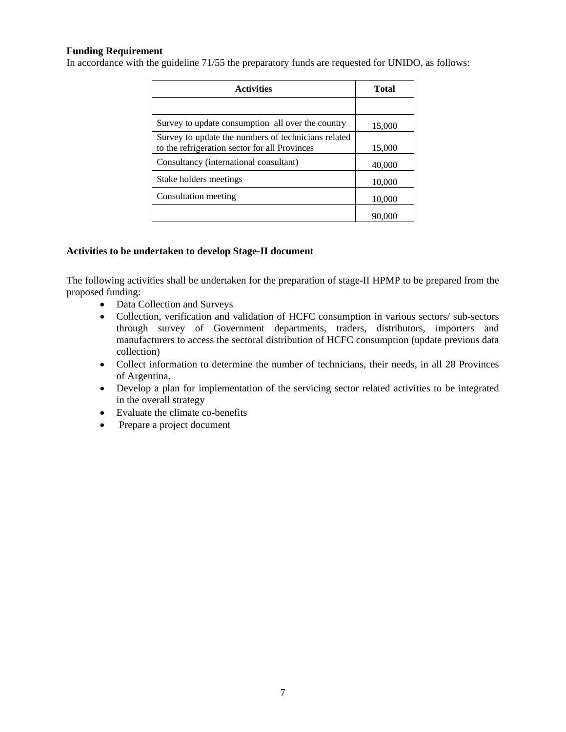# **Funding Requirement**

In accordance with the guideline 71/55 the preparatory funds are requested for UNIDO, as follows:

| <b>Activities</b>                                                                                    | Total  |
|------------------------------------------------------------------------------------------------------|--------|
|                                                                                                      |        |
| Survey to update consumption all over the country                                                    | 15,000 |
| Survey to update the numbers of technicians related<br>to the refrigeration sector for all Provinces | 15,000 |
| Consultancy (international consultant)                                                               | 40,000 |
| Stake holders meetings                                                                               | 10,000 |
| Consultation meeting                                                                                 | 10,000 |
|                                                                                                      |        |

#### **Activities to be undertaken to develop Stage-II document**

The following activities shall be undertaken for the preparation of stage-II HPMP to be prepared from the proposed funding:

- Data Collection and Surveys
- Collection, verification and validation of HCFC consumption in various sectors/ sub-sectors through survey of Government departments, traders, distributors, importers and manufacturers to access the sectoral distribution of HCFC consumption (update previous data collection)
- Collect information to determine the number of technicians, their needs, in all 28 Provinces of Argentina.
- Develop a plan for implementation of the servicing sector related activities to be integrated in the overall strategy
- Evaluate the climate co-benefits
- Prepare a project document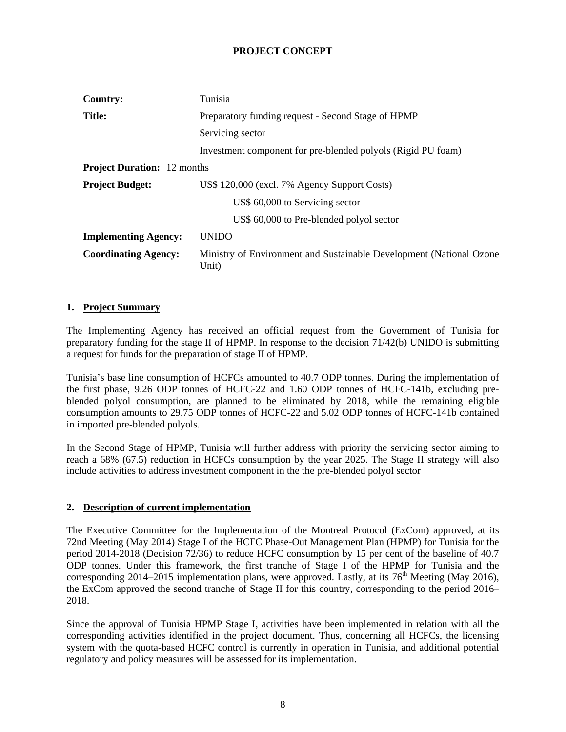# **PROJECT CONCEPT**

| <b>Country:</b>                    | Tunisia                                                                      |
|------------------------------------|------------------------------------------------------------------------------|
| <b>Title:</b>                      | Preparatory funding request - Second Stage of HPMP                           |
|                                    | Servicing sector                                                             |
|                                    | Investment component for pre-blended polyols (Rigid PU foam)                 |
| <b>Project Duration:</b> 12 months |                                                                              |
| <b>Project Budget:</b>             | US\$ 120,000 (excl. 7% Agency Support Costs)                                 |
|                                    | US\$ 60,000 to Servicing sector                                              |
|                                    | US\$ 60,000 to Pre-blended polyol sector                                     |
| <b>Implementing Agency:</b>        | <b>UNIDO</b>                                                                 |
| <b>Coordinating Agency:</b>        | Ministry of Environment and Sustainable Development (National Ozone<br>Unit) |

### **1. Project Summary**

The Implementing Agency has received an official request from the Government of Tunisia for preparatory funding for the stage II of HPMP. In response to the decision 71/42(b) UNIDO is submitting a request for funds for the preparation of stage II of HPMP.

Tunisia's base line consumption of HCFCs amounted to 40.7 ODP tonnes. During the implementation of the first phase, 9.26 ODP tonnes of HCFC-22 and 1.60 ODP tonnes of HCFC-141b, excluding preblended polyol consumption, are planned to be eliminated by 2018, while the remaining eligible consumption amounts to 29.75 ODP tonnes of HCFC-22 and 5.02 ODP tonnes of HCFC-141b contained in imported pre-blended polyols.

In the Second Stage of HPMP, Tunisia will further address with priority the servicing sector aiming to reach a 68% (67.5) reduction in HCFCs consumption by the year 2025. The Stage II strategy will also include activities to address investment component in the the pre-blended polyol sector

#### **2. Description of current implementation**

The Executive Committee for the Implementation of the Montreal Protocol (ExCom) approved, at its 72nd Meeting (May 2014) Stage I of the HCFC Phase-Out Management Plan (HPMP) for Tunisia for the period 2014-2018 (Decision 72/36) to reduce HCFC consumption by 15 per cent of the baseline of 40.7 ODP tonnes. Under this framework, the first tranche of Stage I of the HPMP for Tunisia and the corresponding 2014–2015 implementation plans, were approved. Lastly, at its  $76<sup>th</sup>$  Meeting (May 2016), the ExCom approved the second tranche of Stage II for this country, corresponding to the period 2016– 2018.

Since the approval of Tunisia HPMP Stage I, activities have been implemented in relation with all the corresponding activities identified in the project document. Thus, concerning all HCFCs, the licensing system with the quota-based HCFC control is currently in operation in Tunisia, and additional potential regulatory and policy measures will be assessed for its implementation.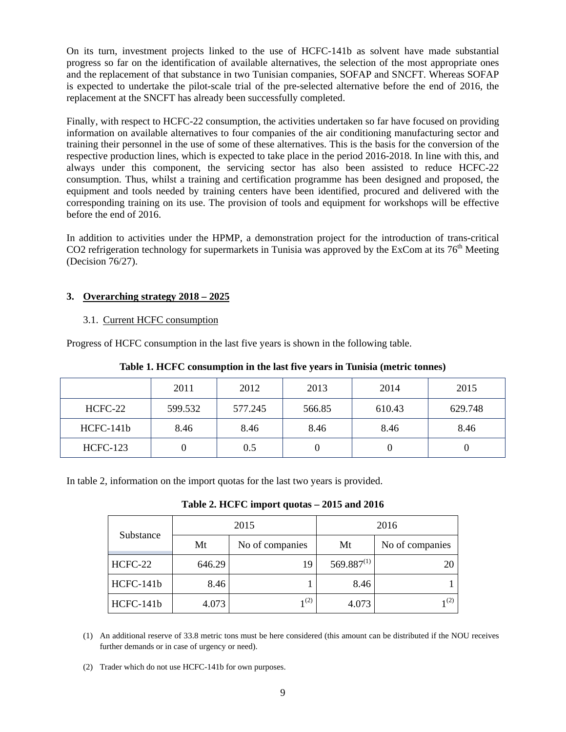On its turn, investment projects linked to the use of HCFC-141b as solvent have made substantial progress so far on the identification of available alternatives, the selection of the most appropriate ones and the replacement of that substance in two Tunisian companies, SOFAP and SNCFT. Whereas SOFAP is expected to undertake the pilot-scale trial of the pre-selected alternative before the end of 2016, the replacement at the SNCFT has already been successfully completed.

Finally, with respect to HCFC-22 consumption, the activities undertaken so far have focused on providing information on available alternatives to four companies of the air conditioning manufacturing sector and training their personnel in the use of some of these alternatives. This is the basis for the conversion of the respective production lines, which is expected to take place in the period 2016-2018. In line with this, and always under this component, the servicing sector has also been assisted to reduce HCFC-22 consumption. Thus, whilst a training and certification programme has been designed and proposed, the equipment and tools needed by training centers have been identified, procured and delivered with the corresponding training on its use. The provision of tools and equipment for workshops will be effective before the end of 2016.

In addition to activities under the HPMP, a demonstration project for the introduction of trans-critical CO2 refrigeration technology for supermarkets in Tunisia was approved by the ExCom at its 76<sup>th</sup> Meeting (Decision 76/27).

# **3. Overarching strategy 2018 – 2025**

#### 3.1. Current HCFC consumption

Progress of HCFC consumption in the last five years is shown in the following table.

|                 | 2011    | 2012    | 2013   | 2014   | 2015    |
|-----------------|---------|---------|--------|--------|---------|
| HCFC-22         | 599.532 | 577.245 | 566.85 | 610.43 | 629.748 |
| $HCFC-141b$     | 8.46    | 8.46    | 8.46   | 8.46   | 8.46    |
| <b>HCFC-123</b> |         | 0.5     |        |        |         |

**Table 1. HCFC consumption in the last five years in Tunisia (metric tonnes)**

In table 2, information on the import quotas for the last two years is provided.

**Table 2. HCFC import quotas – 2015 and 2016** 

|           |        | 2015            | 2016            |                 |
|-----------|--------|-----------------|-----------------|-----------------|
| Substance | Mt     | No of companies | Mt              | No of companies |
| HCFC-22   | 646.29 | 19              | $569.887^{(1)}$ |                 |
| HCFC-141b | 8.46   |                 | 8.46            |                 |
| HCFC-141b | 4.073  | (2)             | 4.073           | (2)             |

(1) An additional reserve of 33.8 metric tons must be here considered (this amount can be distributed if the NOU receives further demands or in case of urgency or need).

(2) Trader which do not use HCFC-141b for own purposes.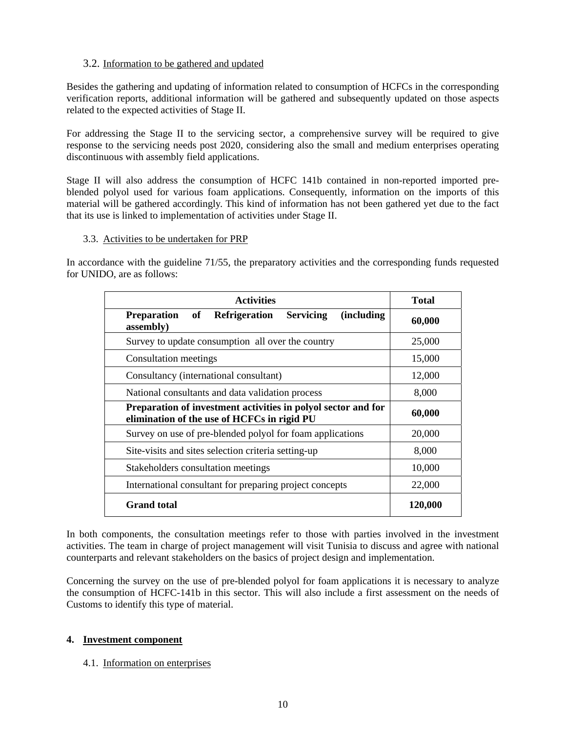### 3.2. Information to be gathered and updated

Besides the gathering and updating of information related to consumption of HCFCs in the corresponding verification reports, additional information will be gathered and subsequently updated on those aspects related to the expected activities of Stage II.

For addressing the Stage II to the servicing sector, a comprehensive survey will be required to give response to the servicing needs post 2020, considering also the small and medium enterprises operating discontinuous with assembly field applications.

Stage II will also address the consumption of HCFC 141b contained in non-reported imported preblended polyol used for various foam applications. Consequently, information on the imports of this material will be gathered accordingly. This kind of information has not been gathered yet due to the fact that its use is linked to implementation of activities under Stage II.

#### 3.3. Activities to be undertaken for PRP

In accordance with the guideline 71/55, the preparatory activities and the corresponding funds requested for UNIDO, are as follows:

| <b>Activities</b>                                                                                            | <b>Total</b> |
|--------------------------------------------------------------------------------------------------------------|--------------|
| Preparation of<br><b>Servicing</b><br><b>Refrigeration</b><br><i>(including)</i><br>assembly)                | 60,000       |
| Survey to update consumption all over the country                                                            | 25,000       |
| Consultation meetings                                                                                        | 15,000       |
| Consultancy (international consultant)                                                                       | 12,000       |
| National consultants and data validation process                                                             | 8,000        |
| Preparation of investment activities in polyol sector and for<br>elimination of the use of HCFCs in rigid PU | 60,000       |
| Survey on use of pre-blended polyol for foam applications                                                    | 20,000       |
| Site-visits and sites selection criteria setting-up                                                          | 8,000        |
| Stakeholders consultation meetings                                                                           | 10,000       |
| International consultant for preparing project concepts                                                      | 22,000       |
| <b>Grand</b> total                                                                                           | 120,000      |

In both components, the consultation meetings refer to those with parties involved in the investment activities. The team in charge of project management will visit Tunisia to discuss and agree with national counterparts and relevant stakeholders on the basics of project design and implementation.

Concerning the survey on the use of pre-blended polyol for foam applications it is necessary to analyze the consumption of HCFC-141b in this sector. This will also include a first assessment on the needs of Customs to identify this type of material.

#### **4. Investment component**

#### 4.1. Information on enterprises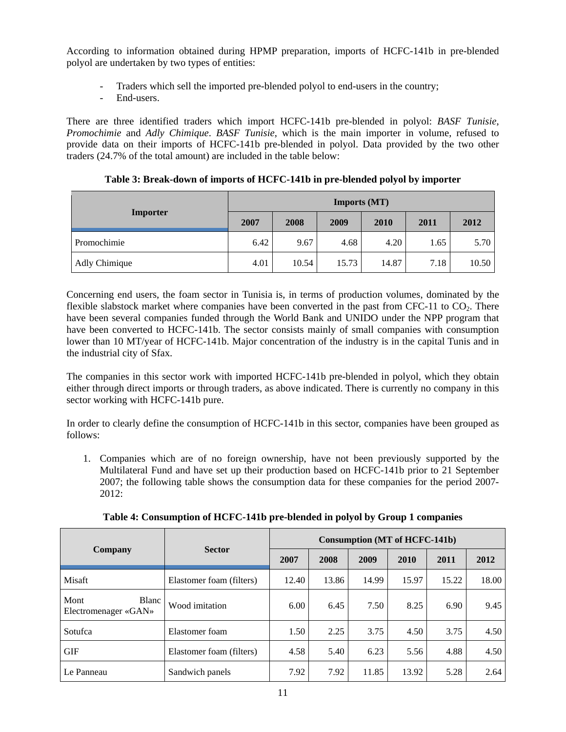According to information obtained during HPMP preparation, imports of HCFC-141b in pre-blended polyol are undertaken by two types of entities:

- Traders which sell the imported pre-blended polyol to end-users in the country;
- End-users.

There are three identified traders which import HCFC-141b pre-blended in polyol: *BASF Tunisie*, *Promochimie* and *Adly Chimique*. *BASF Tunisie*, which is the main importer in volume, refused to provide data on their imports of HCFC-141b pre-blended in polyol. Data provided by the two other traders (24.7% of the total amount) are included in the table below:

|               | Imports (MT) |       |       |       |      |       |  |  |  |  |
|---------------|--------------|-------|-------|-------|------|-------|--|--|--|--|
| Importer      | 2007         | 2008  | 2009  | 2010  | 2011 | 2012  |  |  |  |  |
| Promochimie   | 6.42         | 9.67  | 4.68  | 4.20  | 1.65 | 5.70  |  |  |  |  |
| Adly Chimique | 4.01         | 10.54 | 15.73 | 14.87 | 7.18 | 10.50 |  |  |  |  |

**Table 3: Break-down of imports of HCFC-141b in pre-blended polyol by importer** 

Concerning end users, the foam sector in Tunisia is, in terms of production volumes, dominated by the flexible slabstock market where companies have been converted in the past from CFC-11 to CO<sub>2</sub>. There have been several companies funded through the World Bank and UNIDO under the NPP program that have been converted to HCFC-141b. The sector consists mainly of small companies with consumption lower than 10 MT/year of HCFC-141b. Major concentration of the industry is in the capital Tunis and in the industrial city of Sfax.

The companies in this sector work with imported HCFC-141b pre-blended in polyol, which they obtain either through direct imports or through traders, as above indicated. There is currently no company in this sector working with HCFC-141b pure.

In order to clearly define the consumption of HCFC-141b in this sector, companies have been grouped as follows:

1. Companies which are of no foreign ownership, have not been previously supported by the Multilateral Fund and have set up their production based on HCFC-141b prior to 21 September 2007; the following table shows the consumption data for these companies for the period 2007- 2012:

|                                       |                          | <b>Consumption (MT of HCFC-141b)</b> |       |       |       |       |       |
|---------------------------------------|--------------------------|--------------------------------------|-------|-------|-------|-------|-------|
| Company                               | <b>Sector</b>            | 2007                                 | 2008  | 2009  | 2010  | 2011  | 2012  |
| Misaft                                | Elastomer foam (filters) | 12.40                                | 13.86 | 14.99 | 15.97 | 15.22 | 18.00 |
| Mont<br>Blanc<br>Electromenager «GAN» | Wood imitation           | 6.00                                 | 6.45  | 7.50  | 8.25  | 6.90  | 9.45  |
| Sotufca                               | Elastomer foam           | 1.50                                 | 2.25  | 3.75  | 4.50  | 3.75  | 4.50  |
| <b>GIF</b>                            | Elastomer foam (filters) | 4.58                                 | 5.40  | 6.23  | 5.56  | 4.88  | 4.50  |
| Le Panneau                            | Sandwich panels          | 7.92                                 | 7.92  | 11.85 | 13.92 | 5.28  | 2.64  |

**Table 4: Consumption of HCFC-141b pre-blended in polyol by Group 1 companies**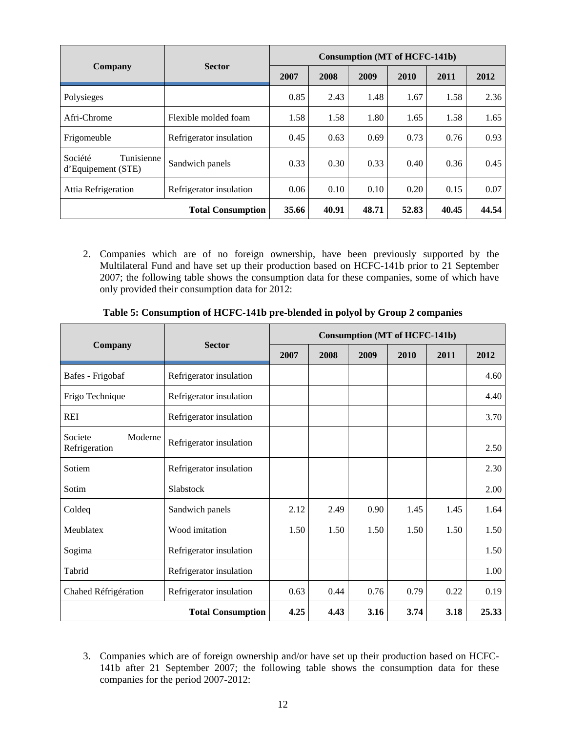|                                             |                         | <b>Consumption (MT of HCFC-141b)</b> |       |       |       |       |       |
|---------------------------------------------|-------------------------|--------------------------------------|-------|-------|-------|-------|-------|
| Company                                     | <b>Sector</b>           | 2007                                 | 2008  | 2009  | 2010  | 2011  | 2012  |
| Polysieges                                  |                         | 0.85                                 | 2.43  | 1.48  | 1.67  | 1.58  | 2.36  |
| Afri-Chrome                                 | Flexible molded foam    | 1.58                                 | 1.58  | 1.80  | 1.65  | 1.58  | 1.65  |
| Frigomeuble                                 | Refrigerator insulation | 0.45                                 | 0.63  | 0.69  | 0.73  | 0.76  | 0.93  |
| Tunisienne<br>Société<br>d'Equipement (STE) | Sandwich panels         | 0.33                                 | 0.30  | 0.33  | 0.40  | 0.36  | 0.45  |
| Attia Refrigeration                         | Refrigerator insulation | 0.06                                 | 0.10  | 0.10  | 0.20  | 0.15  | 0.07  |
| <b>Total Consumption</b>                    |                         | 35.66                                | 40.91 | 48.71 | 52.83 | 40.45 | 44.54 |

2. Companies which are of no foreign ownership, have been previously supported by the Multilateral Fund and have set up their production based on HCFC-141b prior to 21 September 2007; the following table shows the consumption data for these companies, some of which have only provided their consumption data for 2012:

|                                     |                          | <b>Consumption (MT of HCFC-141b)</b> |      |      |      |      |       |
|-------------------------------------|--------------------------|--------------------------------------|------|------|------|------|-------|
| Company                             | <b>Sector</b>            | 2007                                 | 2008 | 2009 | 2010 | 2011 | 2012  |
| Bafes - Frigobaf                    | Refrigerator insulation  |                                      |      |      |      |      | 4.60  |
| Frigo Technique                     | Refrigerator insulation  |                                      |      |      |      |      | 4.40  |
| <b>REI</b>                          | Refrigerator insulation  |                                      |      |      |      |      | 3.70  |
| Moderne<br>Societe<br>Refrigeration | Refrigerator insulation  |                                      |      |      |      |      | 2.50  |
| Sotiem                              | Refrigerator insulation  |                                      |      |      |      |      | 2.30  |
| Sotim                               | Slabstock                |                                      |      |      |      |      | 2.00  |
| Coldeq                              | Sandwich panels          | 2.12                                 | 2.49 | 0.90 | 1.45 | 1.45 | 1.64  |
| Meublatex                           | Wood imitation           | 1.50                                 | 1.50 | 1.50 | 1.50 | 1.50 | 1.50  |
| Sogima                              | Refrigerator insulation  |                                      |      |      |      |      | 1.50  |
| Tabrid                              | Refrigerator insulation  |                                      |      |      |      |      | 1.00  |
| Chahed Réfrigération                | Refrigerator insulation  | 0.63                                 | 0.44 | 0.76 | 0.79 | 0.22 | 0.19  |
|                                     | <b>Total Consumption</b> | 4.25                                 | 4.43 | 3.16 | 3.74 | 3.18 | 25.33 |

**Table 5: Consumption of HCFC-141b pre-blended in polyol by Group 2 companies** 

 $\overline{\phantom{a}}$ 

 $\overline{\phantom{a}}$ 

 $\blacksquare$ 

3. Companies which are of foreign ownership and/or have set up their production based on HCFC-141b after 21 September 2007; the following table shows the consumption data for these companies for the period 2007-2012: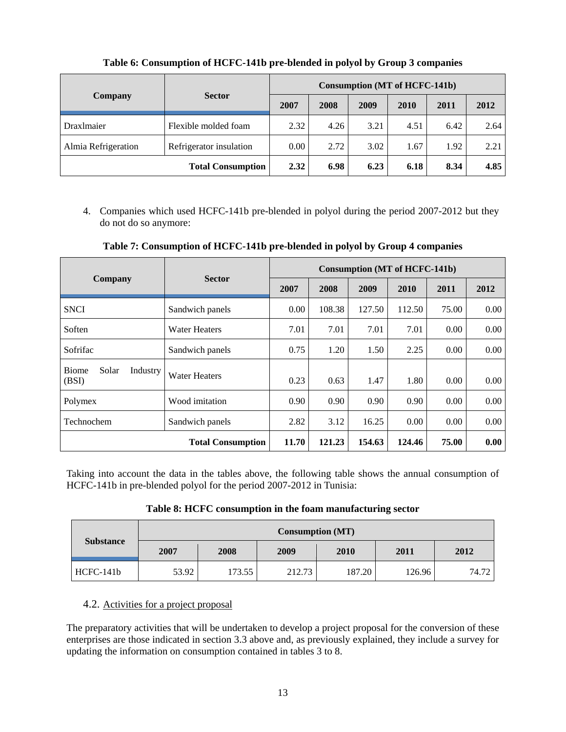|                     |                          | <b>Consumption (MT of HCFC-141b)</b> |      |      |      |      |      |
|---------------------|--------------------------|--------------------------------------|------|------|------|------|------|
| <b>Company</b>      | <b>Sector</b>            | 2008<br>2009<br>2010<br>2007<br>2011 |      |      |      |      | 2012 |
| DraxImaier          | Flexible molded foam     | 2.32                                 | 4.26 | 3.21 | 4.51 | 6.42 | 2.64 |
| Almia Refrigeration | Refrigerator insulation  | 0.00                                 | 2.72 | 3.02 | 1.67 | 1.92 | 2.21 |
|                     | <b>Total Consumption</b> | 2.32                                 | 6.98 | 6.23 | 6.18 | 8.34 | 4.85 |

**Table 6: Consumption of HCFC-141b pre-blended in polyol by Group 3 companies** 

4. Companies which used HCFC-141b pre-blended in polyol during the period 2007-2012 but they do not do so anymore:

**Table 7: Consumption of HCFC-141b pre-blended in polyol by Group 4 companies** 

|                                            |                      | <b>Consumption (MT of HCFC-141b)</b> |        |        |        |       |          |
|--------------------------------------------|----------------------|--------------------------------------|--------|--------|--------|-------|----------|
| Company                                    | <b>Sector</b>        | 2007                                 | 2008   | 2009   | 2010   | 2011  | 2012     |
| <b>SNCI</b>                                | Sandwich panels      | 0.00                                 | 108.38 | 127.50 | 112.50 | 75.00 | 0.00     |
| Soften                                     | <b>Water Heaters</b> | 7.01                                 | 7.01   | 7.01   | 7.01   | 0.00  | 0.00     |
| Sofrifac                                   | Sandwich panels      | 0.75                                 | 1.20   | 1.50   | 2.25   | 0.00  | 0.00     |
| <b>Biome</b><br>Solar<br>Industry<br>(BSI) | <b>Water Heaters</b> | 0.23                                 | 0.63   | 1.47   | 1.80   | 0.00  | 0.00     |
| Polymex                                    | Wood imitation       | 0.90                                 | 0.90   | 0.90   | 0.90   | 0.00  | 0.00     |
| Technochem                                 | Sandwich panels      | 2.82                                 | 3.12   | 16.25  | 0.00   | 0.00  | $0.00\,$ |
| <b>Total Consumption</b>                   |                      | 11.70                                | 121.23 | 154.63 | 124.46 | 75.00 | 0.00     |

Taking into account the data in the tables above, the following table shows the annual consumption of HCFC-141b in pre-blended polyol for the period 2007-2012 in Tunisia:

#### **Table 8: HCFC consumption in the foam manufacturing sector**

|                  | <b>Consumption (MT)</b> |                      |        |        |        |       |  |
|------------------|-------------------------|----------------------|--------|--------|--------|-------|--|
| <b>Substance</b> | 2007                    | 2008<br>2009<br>2010 |        | 2011   | 2012   |       |  |
| $HCFC-141b$      | 53.92                   | 173.55               | 212.73 | 187.20 | 126.96 | 74.72 |  |

# 4.2. Activities for a project proposal

The preparatory activities that will be undertaken to develop a project proposal for the conversion of these enterprises are those indicated in section 3.3 above and, as previously explained, they include a survey for updating the information on consumption contained in tables 3 to 8.